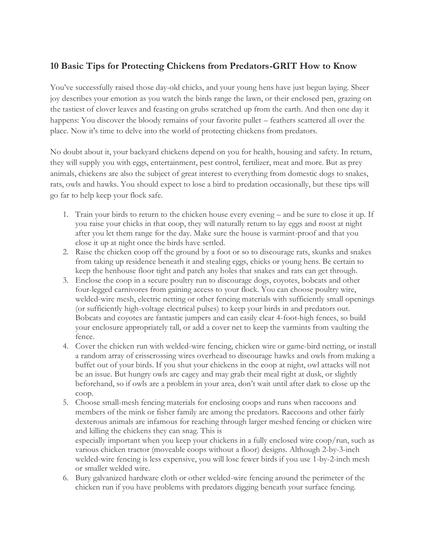## **10 Basic Tips for Protecting Chickens from Predators-GRIT How to Know**

You've successfully raised those day-old chicks, and your young hens have just begun laying. Sheer joy describes your emotion as you watch the birds range the lawn, or their enclosed pen, grazing on the tastiest of clover leaves and feasting on grubs scratched up from the earth. And then one day it happens: You discover the bloody remains of your favorite pullet – feathers scattered all over the place. Now it's time to delve into the world of protecting chickens from predators.

No doubt about it, your backyard chickens depend on you for health, housing and safety. In return, they will supply you with eggs, entertainment, pest control, fertilizer, meat and more. But as prey animals, chickens are also the subject of great interest to everything from domestic dogs to snakes, rats, owls and hawks. You should expect to lose a bird to predation occasionally, but these tips will go far to help keep your flock safe.

- 1. Train your birds to return to the chicken house every evening and be sure to close it up. If you raise your chicks in that coop, they will naturally return to lay eggs and roost at night after you let them range for the day. Make sure the house is varmint-proof and that you close it up at night once the birds have settled.
- 2. Raise the chicken coop off the ground by a foot or so to discourage rats, skunks and snakes from taking up residence beneath it and stealing eggs, chicks or young hens. Be certain to keep the henhouse floor tight and patch any holes that snakes and rats can get through.
- 3. Enclose the coop in a secure poultry run to discourage dogs, coyotes, bobcats and other four-legged carnivores from gaining access to your flock. You can choose poultry wire, welded-wire mesh, electric netting or other fencing materials with sufficiently small openings (or sufficiently high-voltage electrical pulses) to keep your birds in and predators out. Bobcats and coyotes are fantastic jumpers and can easily clear 4-foot-high fences, so build your enclosure appropriately tall, or add a cover net to keep the varmints from vaulting the fence.
- 4. Cover the chicken run with welded-wire fencing, chicken wire or game-bird netting, or install a random array of crisscrossing wires overhead to discourage hawks and owls from making a buffet out of your birds. If you shut your chickens in the coop at night, owl attacks will not be an issue. But hungry owls are cagey and may grab their meal right at dusk, or slightly beforehand, so if owls are a problem in your area, don't wait until after dark to close up the coop.
- 5. Choose small-mesh fencing materials for enclosing coops and runs when raccoons and members of the mink or fisher family are among the predators. Raccoons and other fairly dexterous animals are infamous for reaching through larger meshed fencing or chicken wire and killing the chickens they can snag. This is especially important when you keep your chickens in a fully enclosed wire coop/run, such as various chicken tractor (moveable coops without a floor) designs. Although 2-by-3-inch welded-wire fencing is less expensive, you will lose fewer birds if you use 1-by-2-inch mesh or smaller welded wire.
- 6. Bury galvanized hardware cloth or other welded-wire fencing around the perimeter of the chicken run if you have problems with predators digging beneath your surface fencing.